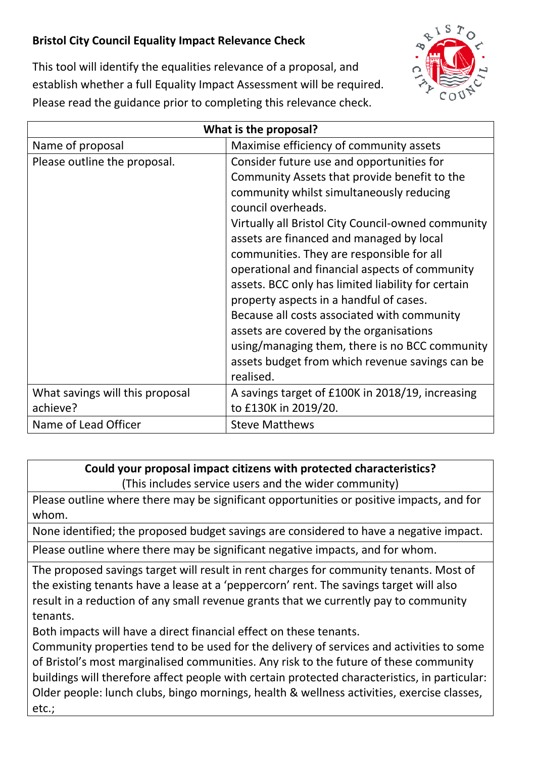## **Bristol City Council Equality Impact Relevance Check**



This tool will identify the equalities relevance of a proposal, and establish whether a full Equality Impact Assessment will be required. Please read the guidance prior to completing this relevance check.

| What is the proposal?           |                                                    |
|---------------------------------|----------------------------------------------------|
| Name of proposal                | Maximise efficiency of community assets            |
| Please outline the proposal.    | Consider future use and opportunities for          |
|                                 | Community Assets that provide benefit to the       |
|                                 | community whilst simultaneously reducing           |
|                                 | council overheads.                                 |
|                                 | Virtually all Bristol City Council-owned community |
|                                 | assets are financed and managed by local           |
|                                 | communities. They are responsible for all          |
|                                 | operational and financial aspects of community     |
|                                 | assets. BCC only has limited liability for certain |
|                                 | property aspects in a handful of cases.            |
|                                 | Because all costs associated with community        |
|                                 | assets are covered by the organisations            |
|                                 | using/managing them, there is no BCC community     |
|                                 | assets budget from which revenue savings can be    |
|                                 | realised.                                          |
| What savings will this proposal | A savings target of £100K in 2018/19, increasing   |
| achieve?                        | to £130K in 2019/20.                               |
| Name of Lead Officer            | <b>Steve Matthews</b>                              |

## **Could your proposal impact citizens with protected characteristics?**

(This includes service users and the wider community)

Please outline where there may be significant opportunities or positive impacts, and for whom.

None identified; the proposed budget savings are considered to have a negative impact.

Please outline where there may be significant negative impacts, and for whom.

The proposed savings target will result in rent charges for community tenants. Most of the existing tenants have a lease at a 'peppercorn' rent. The savings target will also result in a reduction of any small revenue grants that we currently pay to community tenants.

Both impacts will have a direct financial effect on these tenants.

Community properties tend to be used for the delivery of services and activities to some of Bristol's most marginalised communities. Any risk to the future of these community buildings will therefore affect people with certain protected characteristics, in particular: Older people: lunch clubs, bingo mornings, health & wellness activities, exercise classes, etc.;